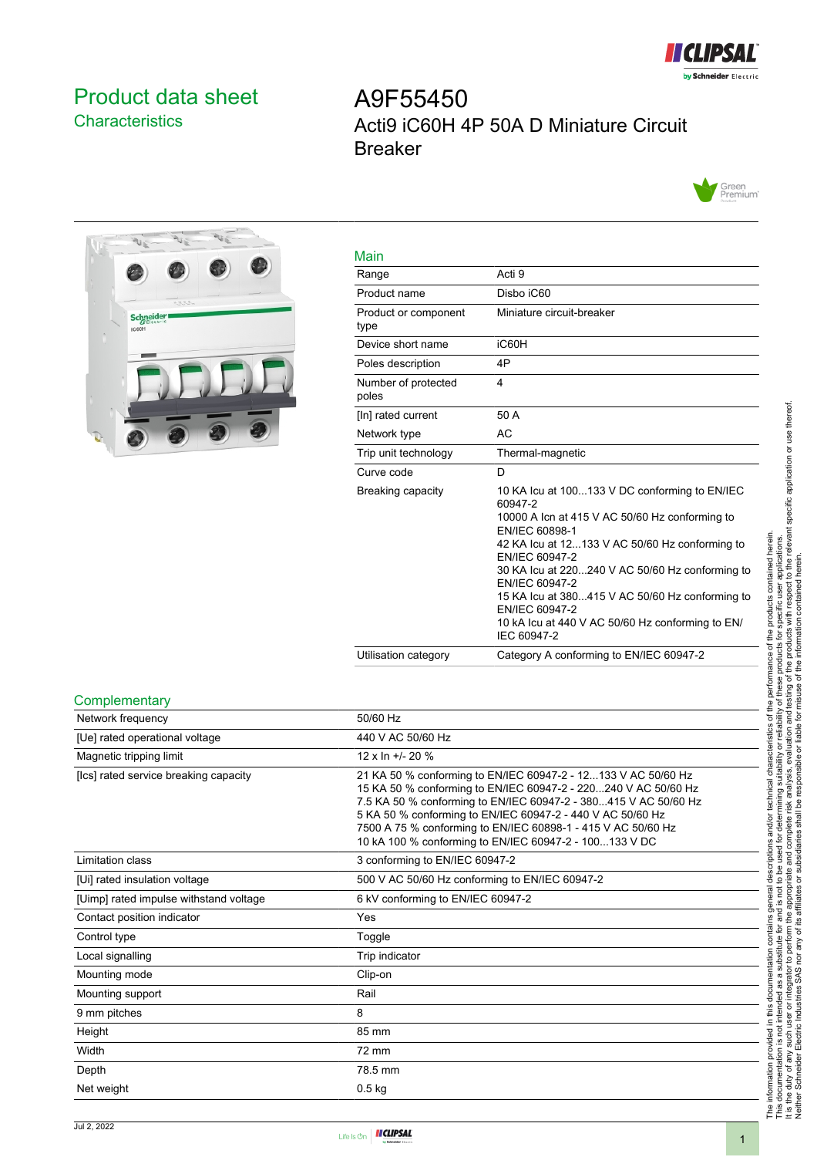

## <span id="page-0-0"></span>Product data sheet **Characteristics**

# A9F55450 Acti9 iC60H 4P 50A D Miniature Circuit Breaker





| Main                         |                                                                                                                                                                                                                                                                                                                                                                                                               |
|------------------------------|---------------------------------------------------------------------------------------------------------------------------------------------------------------------------------------------------------------------------------------------------------------------------------------------------------------------------------------------------------------------------------------------------------------|
| Range                        | Acti 9                                                                                                                                                                                                                                                                                                                                                                                                        |
| Product name                 | Disbo iC60                                                                                                                                                                                                                                                                                                                                                                                                    |
| Product or component<br>type | Miniature circuit-breaker                                                                                                                                                                                                                                                                                                                                                                                     |
| Device short name            | iC60H                                                                                                                                                                                                                                                                                                                                                                                                         |
| Poles description            | 4P                                                                                                                                                                                                                                                                                                                                                                                                            |
| Number of protected<br>poles | 4                                                                                                                                                                                                                                                                                                                                                                                                             |
| [In] rated current           | 50 A                                                                                                                                                                                                                                                                                                                                                                                                          |
| Network type                 | <b>AC</b>                                                                                                                                                                                                                                                                                                                                                                                                     |
| Trip unit technology         | Thermal-magnetic                                                                                                                                                                                                                                                                                                                                                                                              |
| Curve code                   | D                                                                                                                                                                                                                                                                                                                                                                                                             |
| Breaking capacity            | 10 KA Icu at 100133 V DC conforming to EN/IEC<br>60947-2<br>10000 A Icn at 415 V AC 50/60 Hz conforming to<br>EN/IEC 60898-1<br>42 KA Icu at 12133 V AC 50/60 Hz conforming to<br>EN/IEC 60947-2<br>30 KA lcu at 220240 V AC 50/60 Hz conforming to<br>EN/IEC 60947-2<br>15 KA lcu at 380415 V AC 50/60 Hz conforming to<br>EN/IEC 60947-2<br>10 kA lcu at 440 V AC 50/60 Hz conforming to EN/<br>IEC 60947-2 |
| Utilisation category         | Category A conforming to EN/IEC 60947-2                                                                                                                                                                                                                                                                                                                                                                       |

#### **Complementary**

| Network frequency                      | 50/60 Hz                                                                                                                                                                                                                                                                                                                                                                                   |
|----------------------------------------|--------------------------------------------------------------------------------------------------------------------------------------------------------------------------------------------------------------------------------------------------------------------------------------------------------------------------------------------------------------------------------------------|
| [Ue] rated operational voltage         | 440 V AC 50/60 Hz                                                                                                                                                                                                                                                                                                                                                                          |
| Magnetic tripping limit                | $12 \times \ln +120 \%$                                                                                                                                                                                                                                                                                                                                                                    |
| [Ics] rated service breaking capacity  | 21 KA 50 % conforming to EN/IEC 60947-2 - 12133 V AC 50/60 Hz<br>15 KA 50 % conforming to EN/IEC 60947-2 - 220240 V AC 50/60 Hz<br>7.5 KA 50 % conforming to EN/IEC 60947-2 - 380415 V AC 50/60 Hz<br>5 KA 50 % conforming to EN/IEC 60947-2 - 440 V AC 50/60 Hz<br>7500 A 75 % conforming to EN/IEC 60898-1 - 415 V AC 50/60 Hz<br>10 kA 100 % conforming to EN/IEC 60947-2 - 100133 V DC |
| <b>Limitation class</b>                | 3 conforming to EN/IEC 60947-2                                                                                                                                                                                                                                                                                                                                                             |
| [Ui] rated insulation voltage          | 500 V AC 50/60 Hz conforming to EN/IEC 60947-2                                                                                                                                                                                                                                                                                                                                             |
| [Uimp] rated impulse withstand voltage | 6 kV conforming to EN/IEC 60947-2                                                                                                                                                                                                                                                                                                                                                          |
| Contact position indicator             | Yes                                                                                                                                                                                                                                                                                                                                                                                        |
| Control type                           | Toggle                                                                                                                                                                                                                                                                                                                                                                                     |
| Local signalling                       | Trip indicator                                                                                                                                                                                                                                                                                                                                                                             |
| Mounting mode                          | Clip-on                                                                                                                                                                                                                                                                                                                                                                                    |
| Mounting support                       | Rail                                                                                                                                                                                                                                                                                                                                                                                       |
| 9 mm pitches                           | 8                                                                                                                                                                                                                                                                                                                                                                                          |
| Height                                 | 85 mm                                                                                                                                                                                                                                                                                                                                                                                      |
| Width                                  | 72 mm                                                                                                                                                                                                                                                                                                                                                                                      |
| Depth                                  | 78.5 mm                                                                                                                                                                                                                                                                                                                                                                                    |
| Net weight                             | $0.5$ kg                                                                                                                                                                                                                                                                                                                                                                                   |
|                                        |                                                                                                                                                                                                                                                                                                                                                                                            |